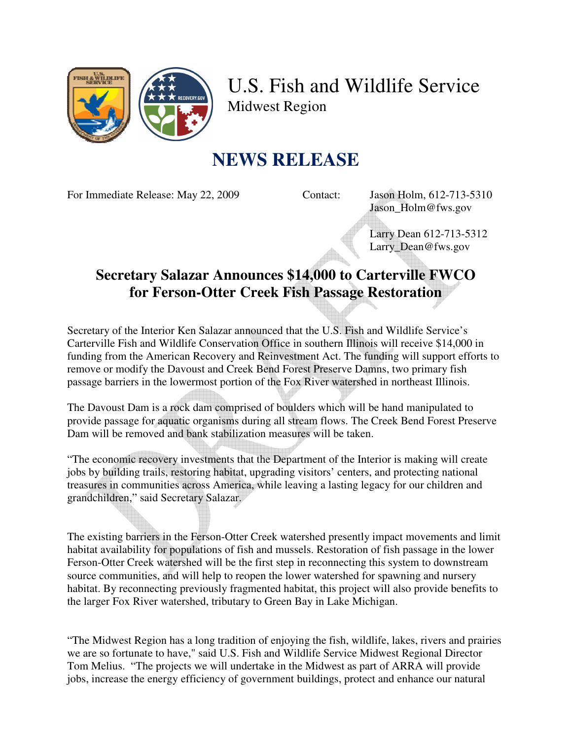

U.S. Fish and Wildlife Service Midwest Region

## **NEWS RELEASE**

For Immediate Release: May 22, 2009 Contact: Jason Holm, 612-713-5310

Jason\_Holm@fws.gov

 Larry Dean 612-713-5312 Larry\_Dean@fws.gov

## **Secretary Salazar Announces \$14,000 to Carterville FWCO for Ferson-Otter Creek Fish Passage Restoration**

Secretary of the Interior Ken Salazar announced that the U.S. Fish and Wildlife Service's Carterville Fish and Wildlife Conservation Office in southern Illinois will receive \$14,000 in funding from the American Recovery and Reinvestment Act. The funding will support efforts to remove or modify the Davoust and Creek Bend Forest Preserve Damns, two primary fish passage barriers in the lowermost portion of the Fox River watershed in northeast Illinois.

The Davoust Dam is a rock dam comprised of boulders which will be hand manipulated to provide passage for aquatic organisms during all stream flows. The Creek Bend Forest Preserve Dam will be removed and bank stabilization measures will be taken.

"The economic recovery investments that the Department of the Interior is making will create jobs by building trails, restoring habitat, upgrading visitors' centers, and protecting national treasures in communities across America, while leaving a lasting legacy for our children and grandchildren," said Secretary Salazar.

The existing barriers in the Ferson-Otter Creek watershed presently impact movements and limit habitat availability for populations of fish and mussels. Restoration of fish passage in the lower Ferson-Otter Creek watershed will be the first step in reconnecting this system to downstream source communities, and will help to reopen the lower watershed for spawning and nursery habitat. By reconnecting previously fragmented habitat, this project will also provide benefits to the larger Fox River watershed, tributary to Green Bay in Lake Michigan.

"The Midwest Region has a long tradition of enjoying the fish, wildlife, lakes, rivers and prairies we are so fortunate to have," said U.S. Fish and Wildlife Service Midwest Regional Director Tom Melius. "The projects we will undertake in the Midwest as part of ARRA will provide jobs, increase the energy efficiency of government buildings, protect and enhance our natural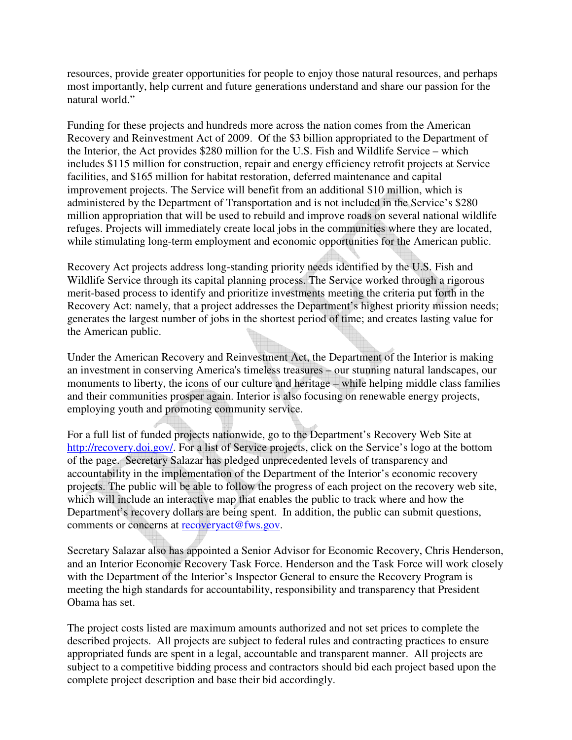resources, provide greater opportunities for people to enjoy those natural resources, and perhaps most importantly, help current and future generations understand and share our passion for the natural world."

Funding for these projects and hundreds more across the nation comes from the American Recovery and Reinvestment Act of 2009. Of the \$3 billion appropriated to the Department of the Interior, the Act provides \$280 million for the U.S. Fish and Wildlife Service – which includes \$115 million for construction, repair and energy efficiency retrofit projects at Service facilities, and \$165 million for habitat restoration, deferred maintenance and capital improvement projects. The Service will benefit from an additional \$10 million, which is administered by the Department of Transportation and is not included in the Service's \$280 million appropriation that will be used to rebuild and improve roads on several national wildlife refuges. Projects will immediately create local jobs in the communities where they are located, while stimulating long-term employment and economic opportunities for the American public.

Recovery Act projects address long-standing priority needs identified by the U.S. Fish and Wildlife Service through its capital planning process. The Service worked through a rigorous merit-based process to identify and prioritize investments meeting the criteria put forth in the Recovery Act: namely, that a project addresses the Department's highest priority mission needs; generates the largest number of jobs in the shortest period of time; and creates lasting value for the American public.

Under the American Recovery and Reinvestment Act, the Department of the Interior is making an investment in conserving America's timeless treasures – our stunning natural landscapes, our monuments to liberty, the icons of our culture and heritage – while helping middle class families and their communities prosper again. Interior is also focusing on renewable energy projects, employing youth and promoting community service.

For a full list of funded projects nationwide, go to the Department's Recovery Web Site at http://recovery.doi.gov/. For a list of Service projects, click on the Service's logo at the bottom of the page. Secretary Salazar has pledged unprecedented levels of transparency and accountability in the implementation of the Department of the Interior's economic recovery projects. The public will be able to follow the progress of each project on the recovery web site, which will include an interactive map that enables the public to track where and how the Department's recovery dollars are being spent. In addition, the public can submit questions, comments or concerns at recoveryact@fws.gov.

Secretary Salazar also has appointed a Senior Advisor for Economic Recovery, Chris Henderson, and an Interior Economic Recovery Task Force. Henderson and the Task Force will work closely with the Department of the Interior's Inspector General to ensure the Recovery Program is meeting the high standards for accountability, responsibility and transparency that President Obama has set.

The project costs listed are maximum amounts authorized and not set prices to complete the described projects. All projects are subject to federal rules and contracting practices to ensure appropriated funds are spent in a legal, accountable and transparent manner. All projects are subject to a competitive bidding process and contractors should bid each project based upon the complete project description and base their bid accordingly.